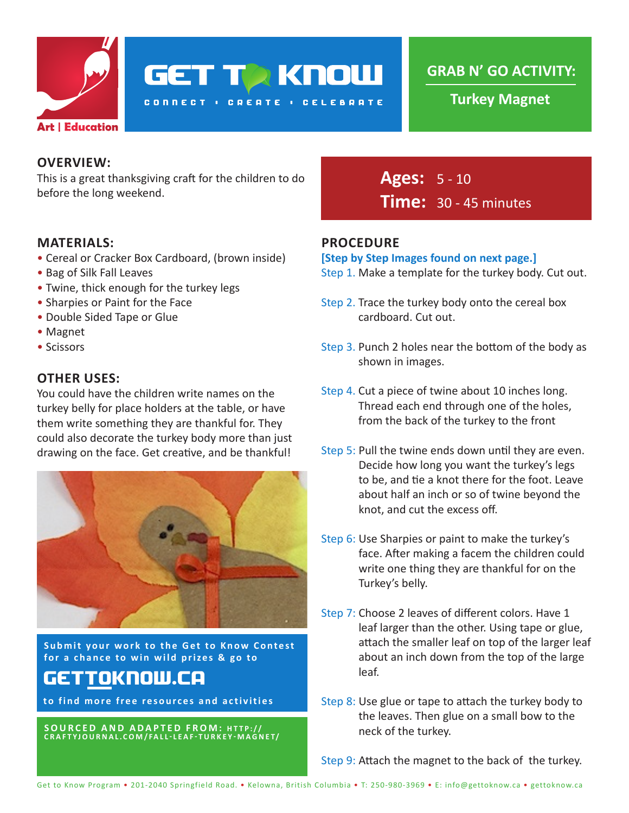

**GET TO KNOW** 

**CONNECT : CREATE : CELEBRATE** 

**GRAB N' GO ACTIVITY:**

**Turkey Magnet**

### **OVERVIEW:**

This is a great thanksgiving craft for the children to do before the long weekend.

### **MATERIALS:**

- Cereal or Cracker Box Cardboard, (brown inside)
- Bag of Silk Fall Leaves
- Twine, thick enough for the turkey legs
- Sharpies or Paint for the Face
- Double Sided Tape or Glue
- Magnet
- Scissors

### **OTHER USES:**

You could have the children write names on the turkey belly for place holders at the table, or have them write something they are thankful for. They could also decorate the turkey body more than just drawing on the face. Get creative, and be thankful!



**Submit your work to the Get to Know Contest for a chance to win wild prizes & go to**

# gettoknow.ca

**to find more free resources and activities**

**SOURCED AND ADAPTED FROM: HTTP:// CRAFTYJOURNAL.COM/FALL-LEAF-TURKEY-MAGNET/** **Ages:** 5 - 10 **Time:** 30 - 45 minutes

### **PROCEDURE**

#### **[Step by Step Images found on next page.]**

- Step 1. Make a template for the turkey body. Cut out.
- Step 2. Trace the turkey body onto the cereal box cardboard. Cut out.
- Step 3. Punch 2 holes near the bottom of the body as shown in images.
- Step 4. Cut a piece of twine about 10 inches long. Thread each end through one of the holes, from the back of the turkey to the front
- Step 5: Pull the twine ends down until they are even. Decide how long you want the turkey's legs to be, and tie a knot there for the foot. Leave about half an inch or so of twine beyond the knot, and cut the excess off.
- Step 6: Use Sharpies or paint to make the turkey's face. After making a facem the children could write one thing they are thankful for on the Turkey's belly.
- Step 7: Choose 2 leaves of different colors. Have 1 leaf larger than the other. Using tape or glue, attach the smaller leaf on top of the larger leaf about an inch down from the top of the large leaf.
- Step 8: Use glue or tape to attach the turkey body to the leaves. Then glue on a small bow to the neck of the turkey.

Step 9: Attach the magnet to the back of the turkey.